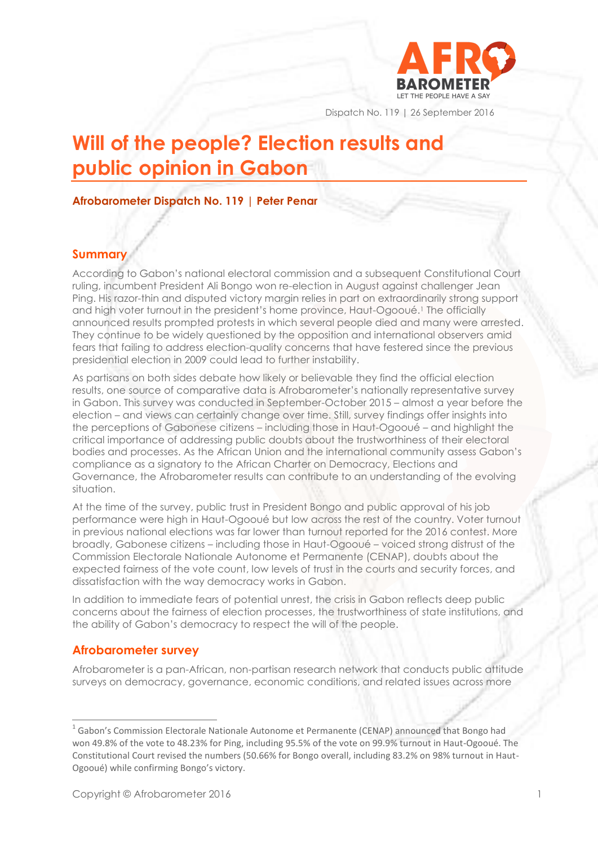

Dispatch No. 119 | 26 September 2016

# **Will of the people? Election results and public opinion in Gabon**

## **Afrobarometer Dispatch No. 119 | Peter Penar**

## **Summary**

According to Gabon's national electoral commission and a subsequent Constitutional Court ruling, incumbent President Ali Bongo won re-election in August against challenger Jean Ping. His razor-thin and disputed victory margin relies in part on extraordinarily strong support and high voter turnout in the president's home province, Haut-Ogooué.<sup>1</sup> The officially announced results prompted protests in which several people died and many were arrested. They continue to be widely questioned by the opposition and international observers amid fears that failing to address election-quality concerns that have festered since the previous presidential election in 2009 could lead to further instability.

As partisans on both sides debate how likely or believable they find the official election results, one source of comparative data is Afrobarometer's nationally representative survey in Gabon. This survey was conducted in September-October 2015 – almost a year before the election – and views can certainly change over time. Still, survey findings offer insights into the perceptions of Gabonese citizens – including those in Haut-Ogooué – and highlight the critical importance of addressing public doubts about the trustworthiness of their electoral bodies and processes. As the African Union and the international community assess Gabon's compliance as a signatory to the African Charter on Democracy, Elections and Governance, the Afrobarometer results can contribute to an understanding of the evolving situation.

At the time of the survey, public trust in President Bongo and public approval of his job performance were high in Haut-Ogooué but low across the rest of the country. Voter turnout in previous national elections was far lower than turnout reported for the 2016 contest. More broadly, Gabonese citizens – including those in Haut-Ogooué – voiced strong distrust of the Commission Electorale Nationale Autonome et Permanente (CENAP), doubts about the expected fairness of the vote count, low levels of trust in the courts and security forces, and dissatisfaction with the way democracy works in Gabon.

In addition to immediate fears of potential unrest, the crisis in Gabon reflects deep public concerns about the fairness of election processes, the trustworthiness of state institutions, and the ability of Gabon's democracy to respect the will of the people.

# **Afrobarometer survey**

Afrobarometer is a pan-African, non-partisan research network that conducts public attitude surveys on democracy, governance, economic conditions, and related issues across more

<sup>1</sup> Gabon's Commission Electorale Nationale Autonome et Permanente (CENAP) announced that Bongo had won 49.8% of the vote to 48.23% for Ping, including 95.5% of the vote on 99.9% turnout in Haut-Ogooué. The Constitutional Court revised the numbers (50.66% for Bongo overall, including 83.2% on 98% turnout in Haut-Ogooué) while confirming Bongo's victory.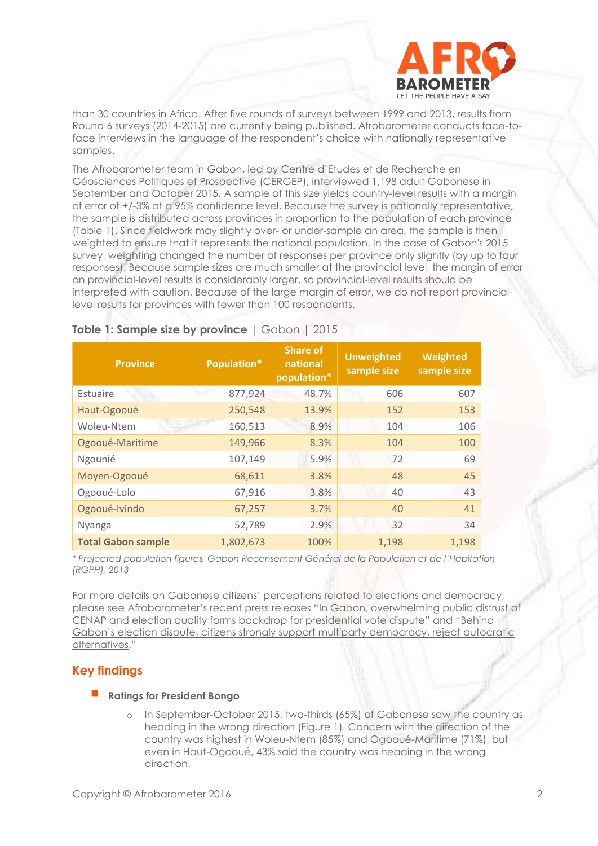

than 30 countries in Africa. After five rounds of surveys between 1999 and 2013, results from Round 6 surveys (2014-2015) are currently being published. Afrobarometer conducts face-toface interviews in the language of the respondent's choice with nationally representative samples.

The Afrobarometer team in Gabon, led by Centre d'Etudes et de Recherche en Géosciences Politiques et Prospective (CERGEP), interviewed 1,198 adult Gabonese in September and October 2015. A sample of this size yields country-level results with a margin of error of +/-3% at a 95% confidence level. Because the survey is nationally representative, the sample is distributed across provinces in proportion to the population of each province (Table 1). Since fieldwork may slightly over- or under-sample an area, the sample is then weighted to ensure that it represents the national population. In the case of Gabon's 2015 survey, weighting changed the number of responses per province only slightly (by up to four responses). Because sample sizes are much smaller at the provincial level, the margin of error on provincial-level results is considerably larger, so provincial-level results should be interpreted with caution. Because of the large margin of error, we do not report provinciallevel results for provinces with fewer than 100 respondents.

| <b>Province</b>           | Population* | <b>Share of</b><br>national<br>population* | <b>Unweighted</b><br>sample size | Weighted<br>sample size |
|---------------------------|-------------|--------------------------------------------|----------------------------------|-------------------------|
| Estuaire                  | 877,924     | 48.7%                                      | 606                              | 607                     |
| Haut-Ogooué               | 250,548     | 13.9%                                      | 152                              | 153                     |
| Woleu-Ntem                | 160,513     | 8.9%                                       | 104                              | 106                     |
| Ogooué-Maritime           | 149,966     | 8.3%                                       | 104                              | 100                     |
| Ngounié                   | 107,149     | 5.9%                                       | 72                               | 69                      |
| Moyen-Ogooué              | 68,611      | 3.8%                                       | 48                               | 45                      |
| Ogooué-Lolo               | 67,916      | 3.8%                                       | 40                               | 43                      |
| Ogooué-Ivindo             | 67,257      | 3.7%                                       | 40                               | 41                      |
| Nyanga                    | 52,789      | 2.9%                                       | 32                               | 34                      |
| <b>Total Gabon sample</b> | 1,802,673   | 100%                                       | 1,198                            | 1,198                   |

## **Table 1: Sample size by province** | Gabon | 2015

*\* Projected population figures, Gabon Recensement Général de la Population et de l'Habitation (RGPH), 2013*

For more details on Gabonese citizens' perceptions related to elections and democracy, please see Afrobarometer's recent press releases "[In Gabon, overwhelming public distrust of](http://afrobarometer.org/press/gabon-overwhelming-public-distrust-cenap-and-election-quality-forms-backdrop-presidential-vote)  [CENAP and election quality forms backdrop for presidential vote dispute](http://afrobarometer.org/press/gabon-overwhelming-public-distrust-cenap-and-election-quality-forms-backdrop-presidential-vote)" and "[Behind](http://afrobarometer.org/press/behind-gabons-election-dispute-citizens-strongly-support-multiparty-democracy-reject-autocratic-alternatives)  [Gabon's election dispute, citizens strongly support multiparty democracy, reject autocratic](http://afrobarometer.org/press/behind-gabons-election-dispute-citizens-strongly-support-multiparty-democracy-reject-autocratic-alternatives)  [alternatives](http://afrobarometer.org/press/behind-gabons-election-dispute-citizens-strongly-support-multiparty-democracy-reject-autocratic-alternatives)."

# **Key findings**

## **Ratings for President Bongo**

o In September-October 2015, two-thirds (65%) of Gabonese saw the country as heading in the wrong direction (Figure 1). Concern with the direction of the country was highest in Woleu-Ntem (85%) and Ogooué-Maritime (71%), but even in Haut-Ogooué, 43% said the country was heading in the wrong direction.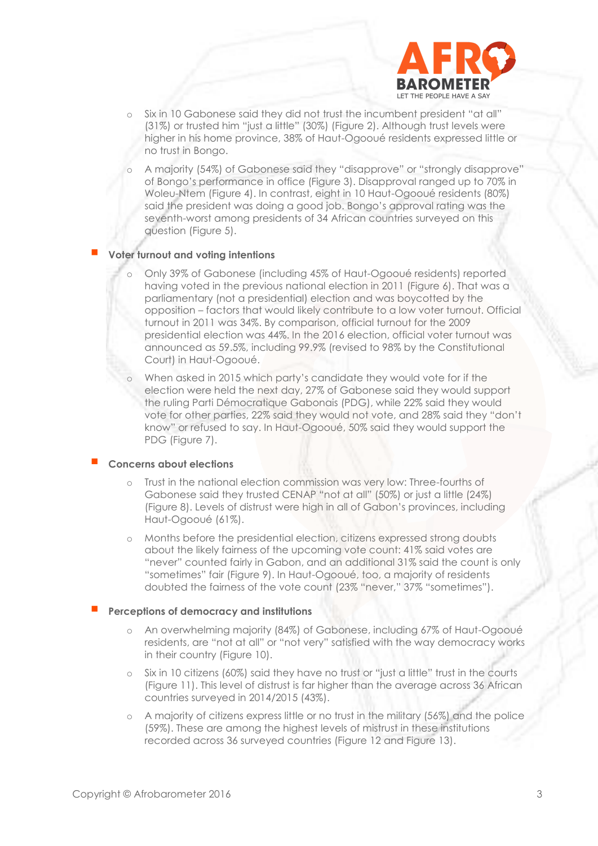

- o Six in 10 Gabonese said they did not trust the incumbent president "at all" (31%) or trusted him "just a little" (30%) (Figure 2). Although trust levels were higher in his home province, 38% of Haut-Ogooué residents expressed little or no trust in Bongo.
- o A majority (54%) of Gabonese said they "disapprove" or "strongly disapprove" of Bongo's performance in office (Figure 3). Disapproval ranged up to 70% in Woleu-Ntem (Figure 4). In contrast, eight in 10 Haut-Ogooué residents (80%) said the president was doing a good job. Bongo's approval rating was the seventh-worst among presidents of 34 African countries surveyed on this question (Figure 5).

#### **Voter turnout and voting intentions**

- o Only 39% of Gabonese (including 45% of Haut-Ogooué residents) reported having voted in the previous national election in 2011 (Figure 6). That was a parliamentary (not a presidential) election and was boycotted by the opposition – factors that would likely contribute to a low voter turnout. Official turnout in 2011 was 34%. By comparison, official turnout for the 2009 presidential election was 44%. In the 2016 election, official voter turnout was announced as 59.5%, including 99.9% (revised to 98% by the Constitutional Court) in Haut-Ogooué.
- When asked in 2015 which party's candidate they would vote for if the election were held the next day, 27% of Gabonese said they would support the ruling Parti Démocratique Gabonais (PDG), while 22% said they would vote for other parties, 22% said they would not vote, and 28% said they "don't know" or refused to say. In Haut-Ogooué, 50% said they would support the PDG (Figure 7).

#### **Concerns about elections**

- Trust in the national election commission was very low: Three-fourths of Gabonese said they trusted CENAP "not at all" (50%) or just a little (24%) (Figure 8). Levels of distrust were high in all of Gabon's provinces, including Haut-Ogooué (61%).
- Months before the presidential election, citizens expressed strong doubts about the likely fairness of the upcoming vote count: 41% said votes are "never" counted fairly in Gabon, and an additional 31% said the count is only "sometimes" fair (Figure 9). In Haut-Ogooué, too, a majority of residents doubted the fairness of the vote count (23% "never," 37% "sometimes").

## **Perceptions of democracy and institutions**

- o An overwhelming majority (84%) of Gabonese, including 67% of Haut-Ogooué residents, are "not at all" or "not very" satisfied with the way democracy works in their country (Figure 10).
- o Six in 10 citizens (60%) said they have no trust or "just a little" trust in the courts (Figure 11). This level of distrust is far higher than the average across 36 African countries surveyed in 2014/2015 (43%).
- o A majority of citizens express little or no trust in the military (56%) and the police (59%). These are among the highest levels of mistrust in these institutions recorded across 36 surveyed countries (Figure 12 and Figure 13).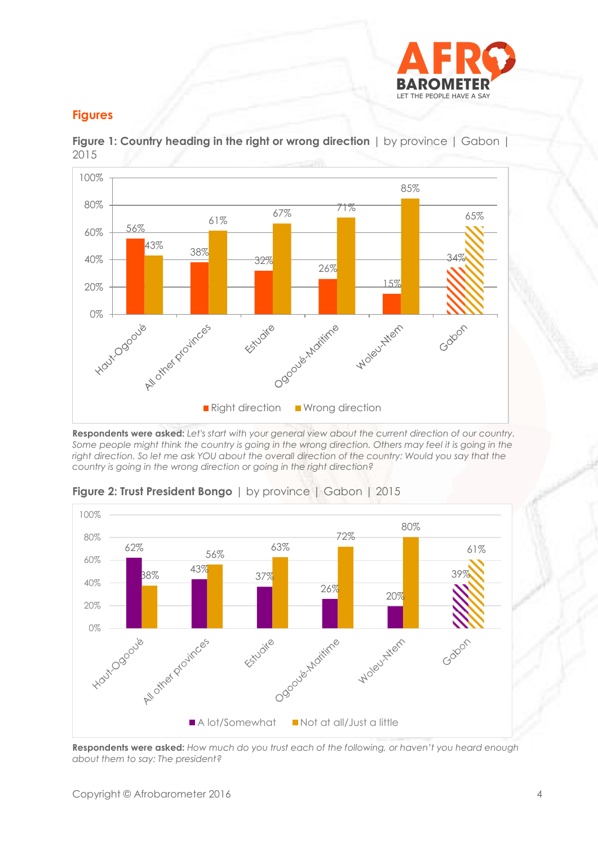

# **Figures**



**Figure 1: Country heading in the right or wrong direction** | by province | Gabon | 2015

**Respondents were asked:** *Let's start with your general view about the current direction of our country. Some people might think the country is going in the wrong direction. Others may feel it is going in the right direction. So let me ask YOU about the overall direction of the country: Would you say that the country is going in the wrong direction or going in the right direction?*



**Figure 2: Trust President Bongo** | by province | Gabon | 2015

**Respondents were asked:** *How much do you trust each of the following, or haven't you heard enough about them to say: The president?*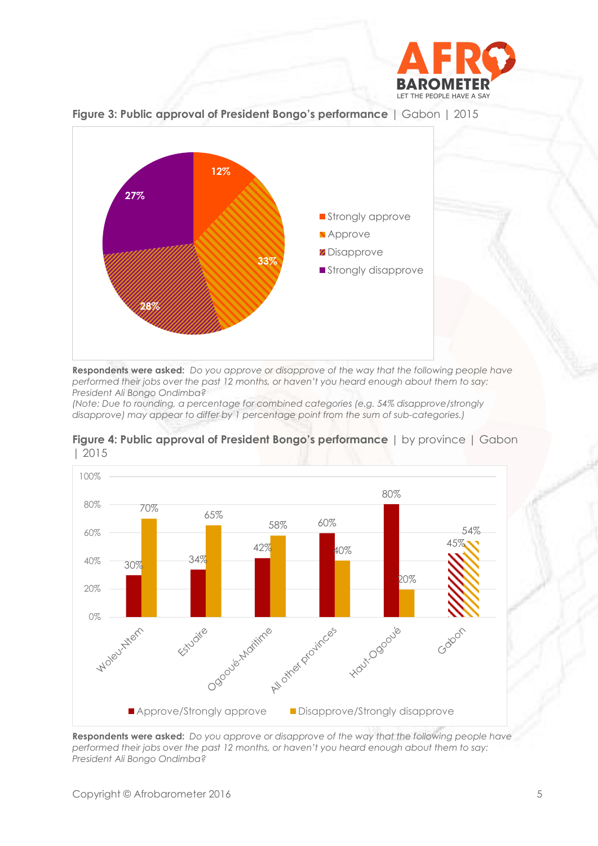



**Figure 3: Public approval of President Bongo's performance** | Gabon | 2015

**Respondents were asked:** *Do you approve or disapprove of the way that the following people have performed their jobs over the past 12 months, or haven't you heard enough about them to say: President Ali Bongo Ondimba?*

*(Note: Due to rounding, a percentage for combined categories (e.g. 54% disapprove/strongly disapprove) may appear to differ by 1 percentage point from the sum of sub-categories.)*





**Respondents were asked:** *Do you approve or disapprove of the way that the following people have performed their jobs over the past 12 months, or haven't you heard enough about them to say: President Ali Bongo Ondimba?*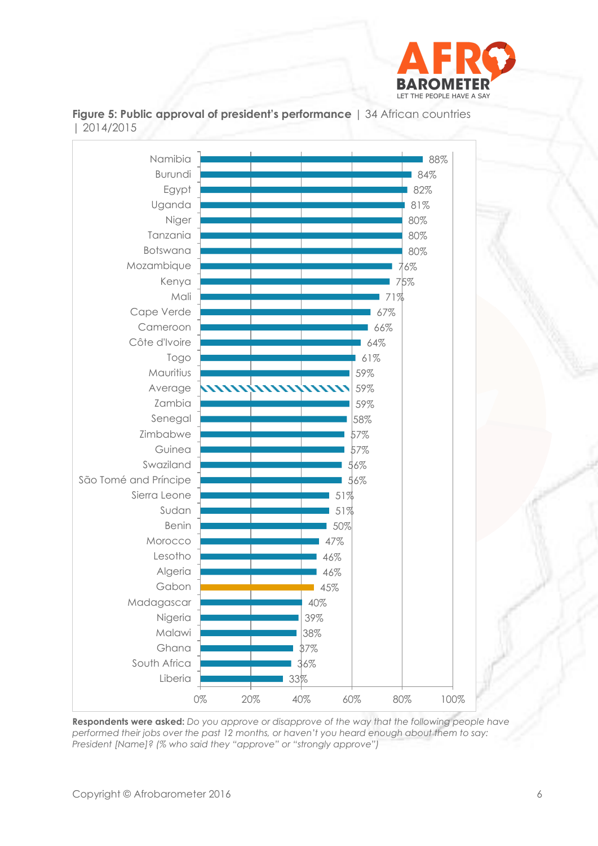



**Figure 5: Public approval of president's performance** | 34 African countries | 2014/2015

**Respondents were asked:** *Do you approve or disapprove of the way that the following people have performed their jobs over the past 12 months, or haven't you heard enough about them to say: President [Name]? (% who said they "approve" or "strongly approve")*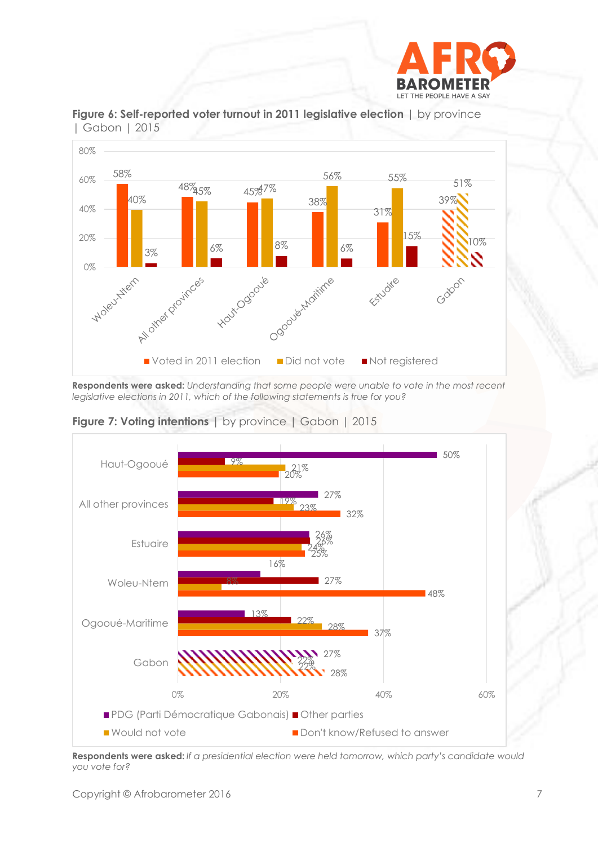





**Respondents were asked:** *Understanding that some people were unable to vote in the most recent legislative elections in 2011, which of the following statements is true for you?*





**Respondents were asked:** *If a presidential election were held tomorrow, which party's candidate would you vote for?*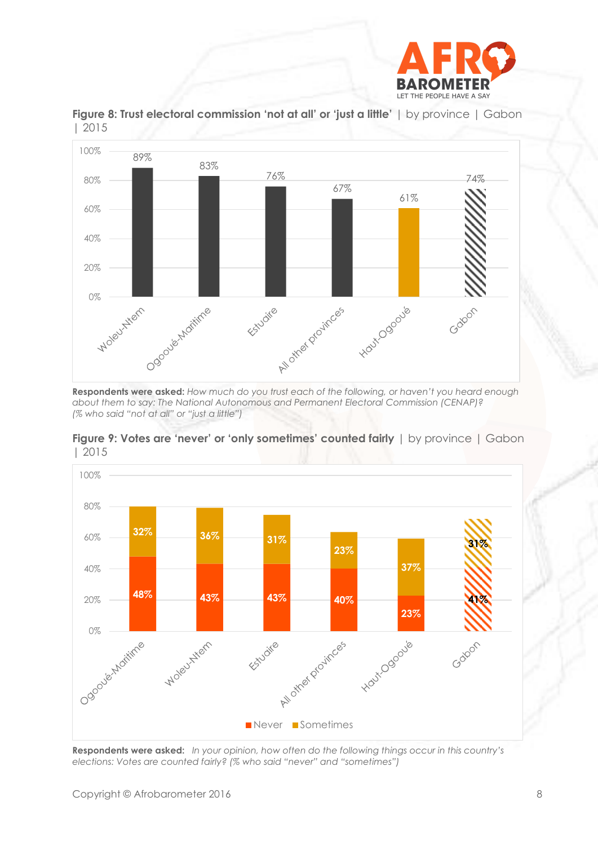



**Figure 8: Trust electoral commission 'not at all' or 'just a little'** | by province | Gabon | 2015

**Respondents were asked:** *How much do you trust each of the following, or haven't you heard enough about them to say: The National Autonomous and Permanent Electoral Commission (CENAP)? (% who said "not at all" or "just a little")*





**Respondents were asked:** *In your opinion, how often do the following things occur in this country's elections: Votes are counted fairly? (% who said "never" and "sometimes")*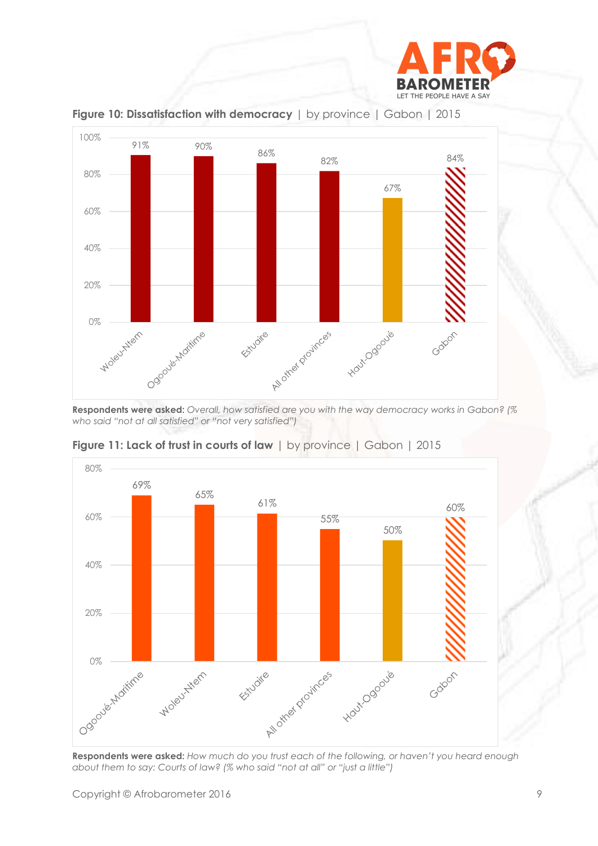



**Figure 10: Dissatisfaction with democracy** | by province | Gabon | 2015

**Respondents were asked:** *Overall, how satisfied are you with the way democracy works in Gabon? (% who said "not at all satisfied" or "not very satisfied")*



**Figure 11: Lack of trust in courts of law** | by province | Gabon | 2015

**Respondents were asked:** *How much do you trust each of the following, or haven't you heard enough about them to say: Courts of law? (% who said "not at all" or "just a little")*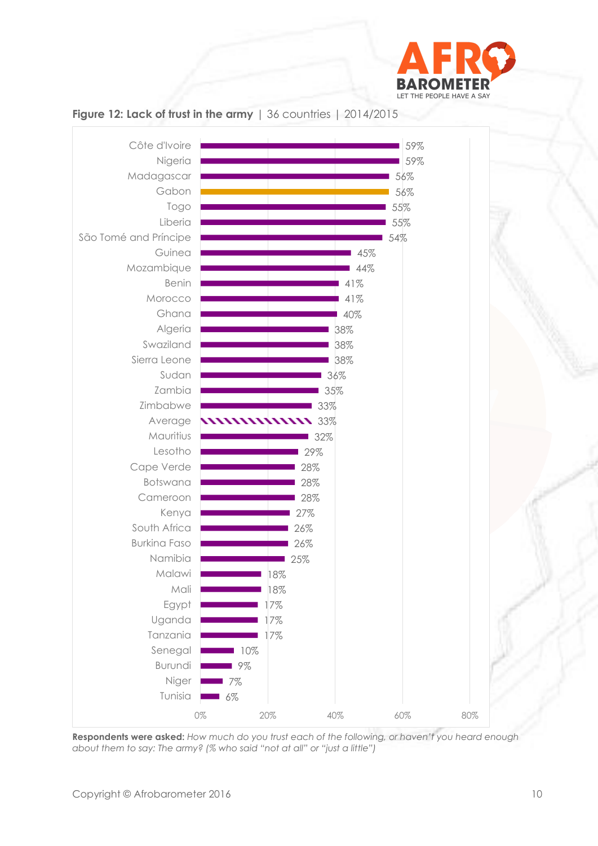



## **Figure 12: Lack of trust in the army** | 36 countries | 2014/2015

**Respondents were asked:** *How much do you trust each of the following, or haven't you heard enough about them to say: The army? (% who said "not at all" or "just a little")*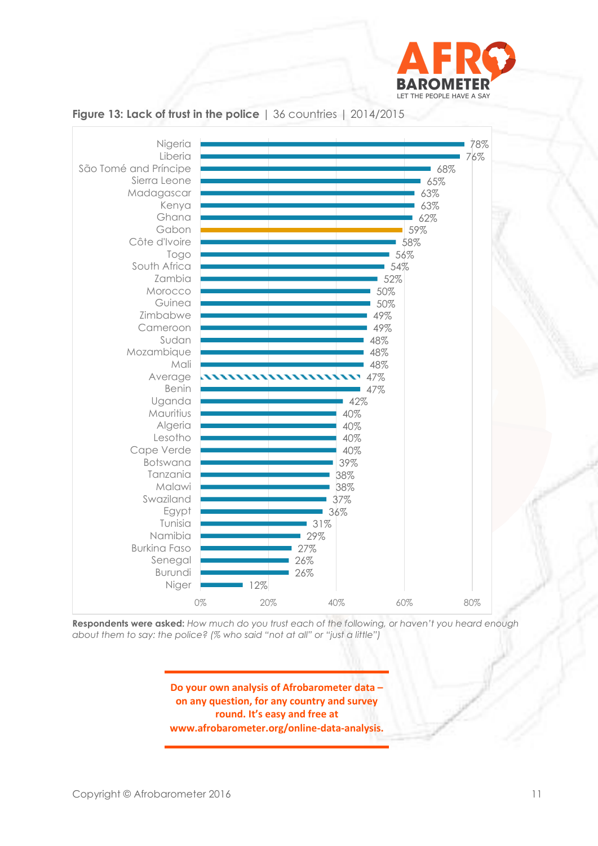



## **Figure 13: Lack of trust in the police** | 36 countries | 2014/2015

**Respondents were asked:** *How much do you trust each of the following, or haven't you heard enough about them to say: the police? (% who said "not at all" or "just a little")*

> **Do your own analysis of Afrobarometer data – on any question, for any country and survey round. It's easy and free at www.afrobarometer.org/online-data-analysis.**